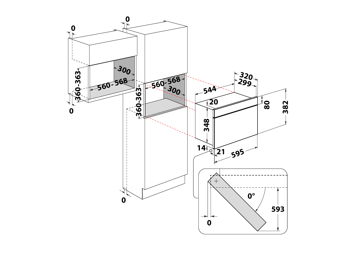